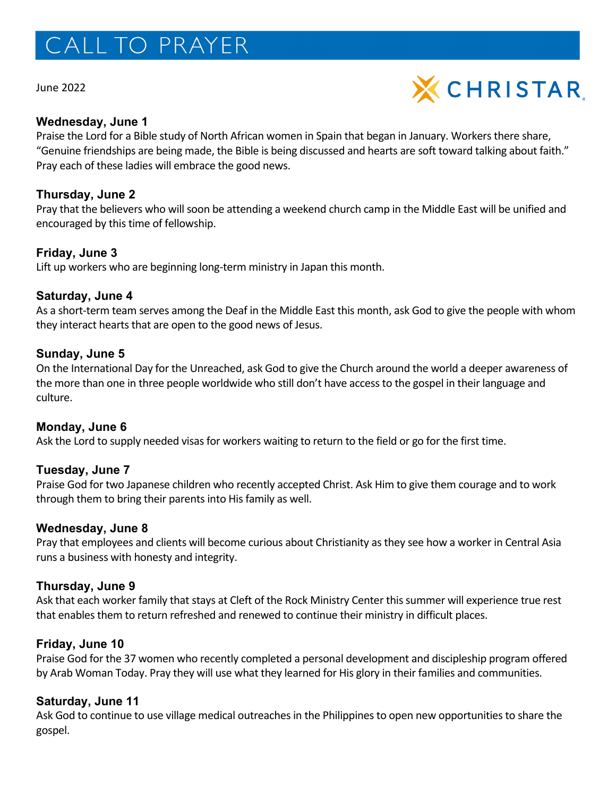# CALL TO PRAYER

June 2022



#### **Wednesday, June 1**

Praise the Lord for a Bible study of North African women in Spain that began in January. Workers there share, "Genuine friendships are being made, the Bible is being discussed and hearts are soft toward talking about faith." Pray each of these ladies will embrace the good news.

## **Thursday, June 2**

Pray that the believers who will soon be attending a weekend church camp in the Middle East will be unified and encouraged by this time of fellowship.

## **Friday, June 3**

Lift up workers who are beginning long-term ministry in Japan this month.

## **Saturday, June 4**

As a short-term team serves among the Deaf in the Middle East this month, ask God to give the people with whom they interact hearts that are open to the good news of Jesus.

## **Sunday, June 5**

On the International Day for the Unreached, ask God to give the Church around the world a deeper awareness of the more than one in three people worldwide who still don't have access to the gospel in their language and culture.

# **Monday, June 6**

Ask the Lord to supply needed visas for workers waiting to return to the field or go for the first time.

# **Tuesday, June 7**

Praise God for two Japanese children who recently accepted Christ. Ask Him to give them courage and to work through them to bring their parents into His family as well.

#### **Wednesday, June 8**

Pray that employees and clients will become curious about Christianity as they see how a worker in Central Asia runs a business with honesty and integrity.

#### **Thursday, June 9**

Ask that each worker family that stays at Cleft of the Rock Ministry Center this summer will experience true rest that enables them to return refreshed and renewed to continue their ministry in difficult places.

#### **Friday, June 10**

Praise God for the 37 women who recently completed a personal development and discipleship program offered by Arab Woman Today. Pray they will use what they learned for His glory in their families and communities.

#### **Saturday, June 11**

Ask God to continue to use village medical outreaches in the Philippines to open new opportunities to share the gospel.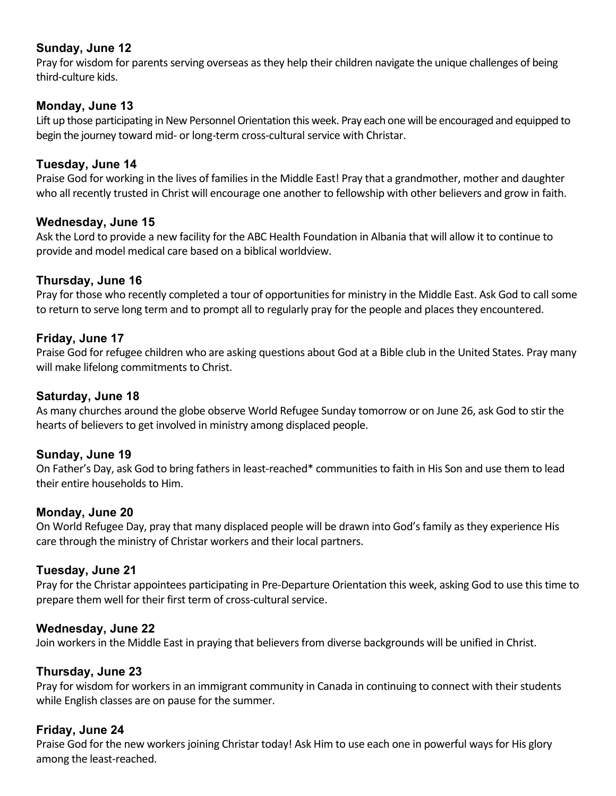# **Sunday, June 12**

Pray for wisdom for parents serving overseas as they help their children navigate the unique challenges of being third-culture kids.

# **Monday, June 13**

Lift up those participating in New Personnel Orientation this week. Pray each one will be encouraged and equipped to begin the journey toward mid- or long-term cross-cultural service with Christar.

# **Tuesday, June 14**

Praise God for working in the lives of families in the Middle East! Pray that a grandmother, mother and daughter who all recently trusted in Christ will encourage one another to fellowship with other believers and grow in faith.

# **Wednesday, June 15**

Ask the Lord to provide a new facility for the ABC Health Foundation in Albania that will allow it to continue to provide and model medical care based on a biblical worldview.

# **Thursday, June 16**

Pray for those who recently completed a tour of opportunities for ministry in the Middle East. Ask God to call some to return to serve long term and to prompt all to regularly pray for the people and places they encountered.

# **Friday, June 17**

Praise God for refugee children who are asking questions about God at a Bible club in the United States. Pray many will make lifelong commitments to Christ.

# **Saturday, June 18**

As many churches around the globe observe World Refugee Sunday tomorrow or on June 26, ask God to stir the hearts of believers to get involved in ministry among displaced people.

# **Sunday, June 19**

On Father's Day, ask God to bring fathers in least-reached\* communities to faith in His Son and use them to lead their entire households to Him.

# **Monday, June 20**

On World Refugee Day, pray that many displaced people will be drawn into God's family as they experience His care through the ministry of Christar workers and their local partners.

# **Tuesday, June 21**

Pray for the Christar appointees participating in Pre-Departure Orientation this week, asking God to use this time to prepare them well for their first term of cross-cultural service.

# **Wednesday, June 22**

Join workers in the Middle East in praying that believers from diverse backgrounds will be unified in Christ.

# **Thursday, June 23**

Pray for wisdom for workers in an immigrant community in Canada in continuing to connect with their students while English classes are on pause for the summer.

# **Friday, June 24**

Praise God for the new workers joining Christar today! Ask Him to use each one in powerful ways for His glory among the least-reached.